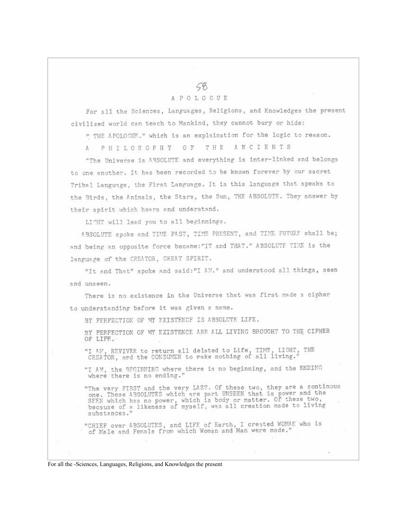## 59 A P O L O C U E

For sll the Sciences, Languages, Religions, and Knowledges the present civilized world can teach to Mankind, they cannot bury or hide:

" THE APOLOGUE." which is an explaination for the logic to reason.

A PHILOSOPHY OF THE ANCIENTS

"The Universe is ABSOLUTE and everything is inter-linked and belongs to one another. It has been recorded to be known forever by our sacret Tribal Language, the First Language. It is this language that speaks to the Birds, the Animals, the Stars, the Sun, THE ABSOLUTE. They answer by their spirit which hears and understand.

LICHT will lead you to all beginnings.

ABSOLUTE spoke and TIME PAST, TIME PRESENT, and TIME FUTURF shall be; and being an opposite force became: "IT and THAT." ABSOLUTE TIME is the language of the CREATOR, GREAT SPIRIT.

"It and That" spoke and said: "I AM." and understood all things, seen end unseen.

There is no existence in the Universe that was first made a cipher to understanding before it was given a name.

BY PERFECTION OF MY FXISTENCE IS ABSOLUTE LIFE.

BY PERFECTION OF MY EXISTENCE ARR ALL LIVING BROUGHT TO THE CIPHER OF LIFE.

"I AN, REVIVER to return all delated to Life, TIME, LIGHT, THE CREATOR, and the CONSUMER to make nothing of all living."

"I AM, the BEGINNING where there is no beginning, and the ENDING where there is no ending."

"The very FIRST and the very LAST. Of these two, they are a continous one. These ABSOLUTES which are part UNSEEN that is power and the SEEN which has no power, which is body or matter. Of these two, because of a likeness of myself, was all creation made to living substances."

"CHIEF over ABSOLUTES, and LIFE of Earth, I created WOMAN who is<br>of Male and Female from which Woman and Man were made."

For all the -Sciences, Languages, Religions, and Knowledges the present